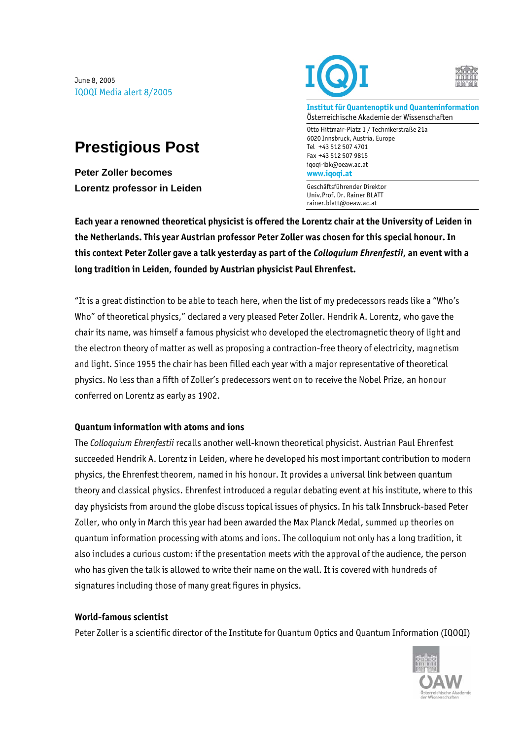June 8, 2005 IQOQI Media alert 8/2005

## **Prestigious Post**

**Peter Zoller becomes Lorentz professor in Leiden** 





**Institut für Quantenoptik und Quanteninformation**  Österreichische Akademie der Wissenschaften

Otto Hittmair-Platz 1 / Technikerstraße 21a 6020 Innsbruck, Austria, Europe Tel +43 512 507 4701 Fax +43 512 507 9815 iqoqi-ibk@oeaw.ac.at **www.iqoqi.at** 

Geschäftsführender Direktor Univ.Prof. Dr. Rainer BLATT rainer.blatt@oeaw.ac.at

**Each year a renowned theoretical physicist is offered the Lorentz chair at the University of Leiden in the Netherlands. This year Austrian professor Peter Zoller was chosen for this special honour. In this context Peter Zoller gave a talk yesterday as part of the** *Colloquium Ehrenfestii***, an event with a long tradition in Leiden, founded by Austrian physicist Paul Ehrenfest.** 

"It is a great distinction to be able to teach here, when the list of my predecessors reads like a "Who's Who" of theoretical physics," declared a very pleased Peter Zoller. Hendrik A. Lorentz, who gave the chair its name, was himself a famous physicist who developed the electromagnetic theory of light and the electron theory of matter as well as proposing a contraction-free theory of electricity, magnetism and light. Since 1955 the chair has been filled each year with a major representative of theoretical physics. No less than a fifth of Zoller's predecessors went on to receive the Nobel Prize, an honour conferred on Lorentz as early as 1902.

## **Quantum information with atoms and ions**

The *Colloquium Ehrenfestii* recalls another well-known theoretical physicist. Austrian Paul Ehrenfest succeeded Hendrik A. Lorentz in Leiden, where he developed his most important contribution to modern physics, the Ehrenfest theorem, named in his honour. It provides a universal link between quantum theory and classical physics. Ehrenfest introduced a regular debating event at his institute, where to this day physicists from around the globe discuss topical issues of physics. In his talk Innsbruck-based Peter Zoller, who only in March this year had been awarded the Max Planck Medal, summed up theories on quantum information processing with atoms and ions. The colloquium not only has a long tradition, it also includes a curious custom: if the presentation meets with the approval of the audience, the person who has given the talk is allowed to write their name on the wall. It is covered with hundreds of signatures including those of many great figures in physics.

## **World-famous scientist**

Peter Zoller is a scientific director of the Institute for Quantum Optics and Quantum Information (IQOQI)